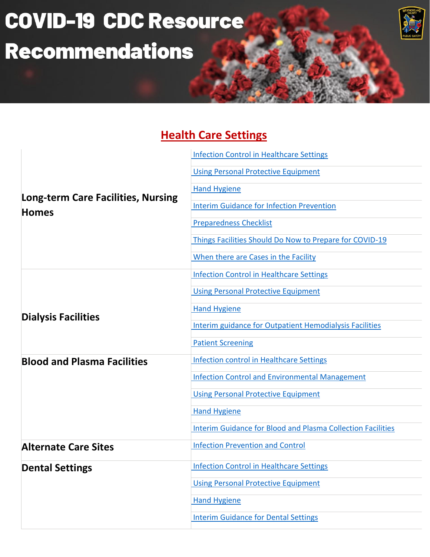# **COVID-19 CDC Resource Recommendations**



#### **Health Care Settings**

| <b>Long-term Care Facilities, Nursing</b><br><b>Homes</b> | <b>Infection Control in Healthcare Settings</b>                    |
|-----------------------------------------------------------|--------------------------------------------------------------------|
|                                                           | <b>Using Personal Protective Equipment</b>                         |
|                                                           | <b>Hand Hygiene</b>                                                |
|                                                           | <b>Interim Guidance for Infection Prevention</b>                   |
|                                                           | <b>Preparedness Checklist</b>                                      |
|                                                           | Things Facilities Should Do Now to Prepare for COVID-19            |
|                                                           | When there are Cases in the Facility                               |
| <b>Dialysis Facilities</b>                                | <b>Infection Control in Healthcare Settings</b>                    |
|                                                           | <b>Using Personal Protective Equipment</b>                         |
|                                                           | <b>Hand Hygiene</b>                                                |
|                                                           | <b>Interim guidance for Outpatient Hemodialysis Facilities</b>     |
|                                                           | <b>Patient Screening</b>                                           |
| <b>Blood and Plasma Facilities</b>                        | <b>Infection control in Healthcare Settings</b>                    |
|                                                           | <b>Infection Control and Environmental Management</b>              |
|                                                           | <b>Using Personal Protective Equipment</b>                         |
|                                                           | <b>Hand Hygiene</b>                                                |
|                                                           | <b>Interim Guidance for Blood and Plasma Collection Facilities</b> |
| <b>Alternate Care Sites</b>                               | <b>Infection Prevention and Control</b>                            |
| <b>Dental Settings</b>                                    | <b>Infection Control in Healthcare Settings</b>                    |
|                                                           | <b>Using Personal Protective Equipment</b>                         |
|                                                           | <b>Hand Hygiene</b>                                                |
|                                                           | <b>Interim Guidance for Dental Settings</b>                        |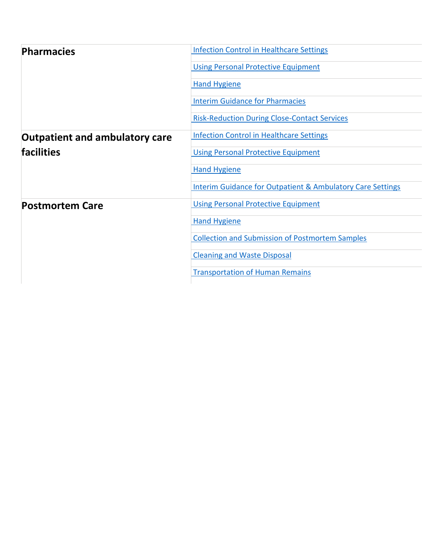| <b>Pharmacies</b>                                          | <b>Infection Control in Healthcare Settings</b>                       |
|------------------------------------------------------------|-----------------------------------------------------------------------|
|                                                            | <b>Using Personal Protective Equipment</b>                            |
|                                                            | <b>Hand Hygiene</b>                                                   |
|                                                            | <b>Interim Guidance for Pharmacies</b>                                |
|                                                            | <b>Risk-Reduction During Close-Contact Services</b>                   |
| <b>Outpatient and ambulatory care</b><br><b>facilities</b> | <b>Infection Control in Healthcare Settings</b>                       |
|                                                            | <b>Using Personal Protective Equipment</b>                            |
|                                                            | <b>Hand Hygiene</b>                                                   |
|                                                            | <b>Interim Guidance for Outpatient &amp; Ambulatory Care Settings</b> |
| <b>Postmortem Care</b>                                     | <b>Using Personal Protective Equipment</b>                            |
|                                                            | <b>Hand Hygiene</b>                                                   |
|                                                            | <b>Collection and Submission of Postmortem Samples</b>                |
|                                                            | <b>Cleaning and Waste Disposal</b>                                    |
|                                                            | <b>Transportation of Human Remains</b>                                |
|                                                            |                                                                       |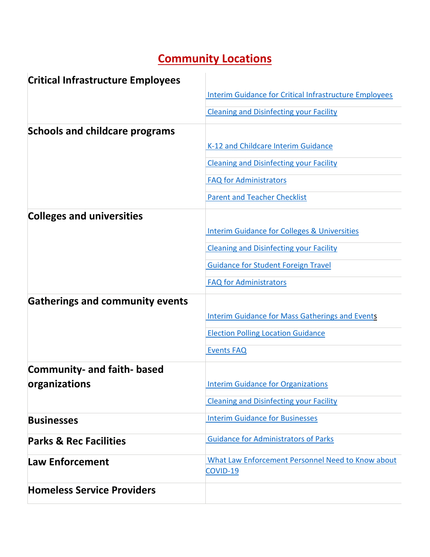## **Community Locations**

| <b>Critical Infrastructure Employees</b> |                                                               |
|------------------------------------------|---------------------------------------------------------------|
|                                          | <b>Interim Guidance for Critical Infrastructure Employees</b> |
|                                          | <b>Cleaning and Disinfecting your Facility</b>                |
| <b>Schools and childcare programs</b>    |                                                               |
|                                          | K-12 and Childcare Interim Guidance                           |
|                                          | <b>Cleaning and Disinfecting your Facility</b>                |
|                                          | <b>FAQ for Administrators</b>                                 |
|                                          | <b>Parent and Teacher Checklist</b>                           |
| <b>Colleges and universities</b>         |                                                               |
|                                          | <b>Interim Guidance for Colleges &amp; Universities</b>       |
|                                          | <b>Cleaning and Disinfecting your Facility</b>                |
|                                          | <b>Guidance for Student Foreign Travel</b>                    |
|                                          | <b>FAQ for Administrators</b>                                 |
| <b>Gatherings and community events</b>   |                                                               |
|                                          | <b>Interim Guidance for Mass Gatherings and Events</b>        |
|                                          | <b>Election Polling Location Guidance</b>                     |
|                                          | <b>Events FAQ</b>                                             |
| <b>Community- and faith- based</b>       |                                                               |
| organizations                            | <b>Interim Guidance for Organizations</b>                     |
|                                          | <b>Cleaning and Disinfecting your Facility</b>                |
| <b>Businesses</b>                        | <b>Interim Guidance for Businesses</b>                        |
| <b>Parks &amp; Rec Facilities</b>        | <b>Guidance for Administrators of Parks</b>                   |
| <b>Law Enforcement</b>                   | What Law Enforcement Personnel Need to Know about<br>COVID-19 |
| <b>Homeless Service Providers</b>        |                                                               |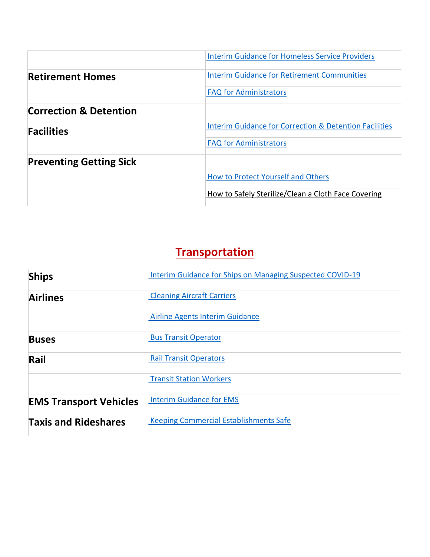|                                   | <b>Interim Guidance for Homeless Service Providers</b>            |
|-----------------------------------|-------------------------------------------------------------------|
| <b>Retirement Homes</b>           | <b>Interim Guidance for Retirement Communities</b>                |
|                                   | <b>FAQ for Administrators</b>                                     |
| <b>Correction &amp; Detention</b> |                                                                   |
| <b>Facilities</b>                 | <b>Interim Guidance for Correction &amp; Detention Facilities</b> |
|                                   | <b>FAQ for Administrators</b>                                     |
| <b>Preventing Getting Sick</b>    |                                                                   |
|                                   | How to Protect Yourself and Others                                |
|                                   | How to Safely Sterilize/Clean a Cloth Face Covering               |

## **Transportation**

| <b>Ships</b>                  | Interim Guidance for Ships on Managing Suspected COVID-19 |
|-------------------------------|-----------------------------------------------------------|
| <b>Airlines</b>               | <b>Cleaning Aircraft Carriers</b>                         |
|                               | Airline Agents Interim Guidance                           |
| <b>Buses</b>                  | <b>Bus Transit Operator</b>                               |
| Rail                          | <b>Rail Transit Operators</b>                             |
|                               | <b>Transit Station Workers</b>                            |
| <b>EMS Transport Vehicles</b> | <b>Interim Guidance for EMS</b>                           |
| <b>Taxis and Rideshares</b>   | <b>Keeping Commercial Establishments Safe</b>             |